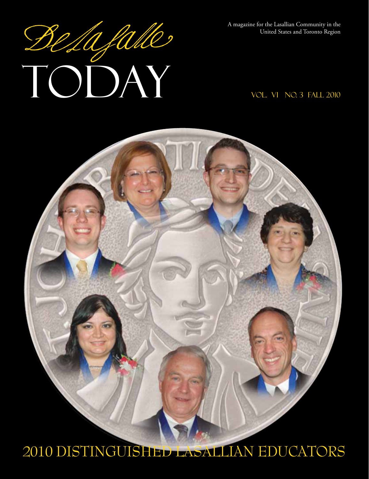A magazine for the Lasallian Community in the United States and Toronto Region

# A magazine for the Lasallian Community in the United States and Toronto Region

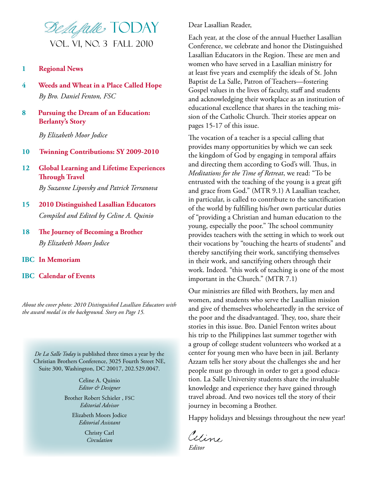

#### **1 Regional News**

- **4 Weeds and Wheat in a Place Called Hope** *By Bro. Daniel Fenton, FSC*
- **8 Pursuing the Dream of an Education: Berlanty's Story**

 *By Elizabeth Moor Jodice*

- **10 Twinning Contributions: SY 2009-2010**
- **12 Global Learning and Lifetime Experiences Through** Travel *By Suzanne Lipovsky and Patrick Terranova*
- **15 2010 Distinguished Lasallian Educators** *Compiled and Edited by Celine A. Quinio*
- **18 The Journey of Becoming a Brother** *By Elizabeth Moors Jodice*
- **IBC In Memoriam**
- **IBC Calendar of Events**

*About the cover photo: 2010 Distinguished Lasallian Educators with the award medal in the background. Story on Page 15.* 

*De La Salle Today* is published three times a year by the Christian Brothers Conference, 3025 Fourth Street NE, Suite 300, Washington, DC 20017, 202.529.0047.

> Celine A. Quinio *Editor & Designer*

Brother Robert Schieler , FSC *Editorial Advisor*

Elizabeth Moors Jodice *Editorial Assistant*

> Christy Carl *Circulation*

Dear Lasallian Reader,

Each year, at the close of the annual Huether Lasallian Conference, we celebrate and honor the Distinguished Lasallian Educators in the Region. These are men and women who have served in a Lasallian ministry for at least five years and exemplify the ideals of St. John Baptist de La Salle, Patron of Teachers—fostering Gospel values in the lives of faculty, staff and students and acknowledging their workplace as an institution of educational excellence that shares in the teaching mission of the Catholic Church. Their stories appear on pages 15-17 of this issue.

The vocation of a teacher is a special calling that provides many opportunities by which we can seek the kingdom of God by engaging in temporal affairs and directing them according to God's will. Thus, in *Meditations for the Time of Retreat*, we read: "To be entrusted with the teaching of the young is a great gift and grace from God." (MTR 9.1) A Lasallian teacher, in particular, is called to contribute to the sanctification of the world by fulfilling his/her own particular duties of "providing a Christian and human education to the young, especially the poor." The school community provides teachers with the setting in which to work out their vocations by "touching the hearts of students" and thereby sanctifying their work, sanctifying themselves in their work, and sanctifying others through their work. Indeed. "this work of teaching is one of the most important in the Church." (MTR 7.1)

Our ministries are filled with Brothers, lay men and women, and students who serve the Lasallian mission and give of themselves wholeheartedly in the service of the poor and the disadvantaged. They, too, share their stories in this issue. Bro. Daniel Fenton writes about his trip to the Philippines last summer together with a group of college student volunteers who worked at a center for young men who have been in jail. Berlanty Azzam tells her story about the challenges she and her people must go through in order to get a good education. La Salle University students share the invaluable knowledge and experience they have gained through travel abroad. And two novices tell the story of their journey in becoming a Brother.

Happy holidays and blessings throughout the new year!

Celine *Editor*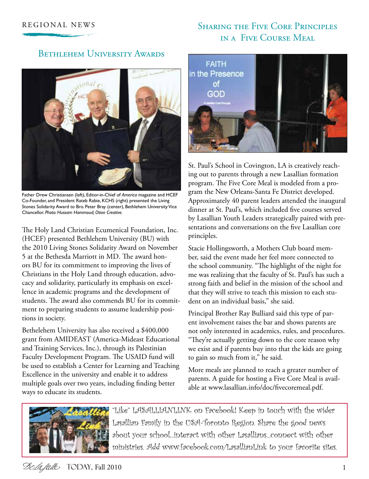#### REGIONAL NEWS SHARING THE FIVE CORE PRINCIPLES in a Five Course Meal

#### Bethlehem University Awards



Father Drew Christiansen (left), Editor-in-Chief of *America* magazine and HCEF Co-Founder, and President Rateb Rabie, KCHS (right) presented the Living Stones Solidarity Award to Bro. Peter Bray (center), Bethlehem University Vice Chancellor. *Photo: Hussam Hammoud, Otion Creative.*

The Holy Land Christian Ecumenical Foundation, Inc. (HCEF) presented Bethlehem University (BU) with the 2010 Living Stones Solidarity Award on November 5 at the Bethesda Marriott in MD. The award honors BU for its commitment to improving the lives of Christians in the Holy Land through education, advocacy and solidarity, particularly its emphasis on excellence in academic programs and the development of students. The award also commends BU for its commitment to preparing students to assume leadership positions in society.

Bethelehem University has also received a \$400,000 grant from AMIDEAST (America-Mideast Educational and Training Services, Inc.), through its Palestinian Faculty Development Program. The USAID fund will be used to establish a Center for Learning and Teaching Excellence in the university and enable it to address multiple goals over two years, including finding better ways to educate its students.



St. Paul's School in Covington, LA is creatively reaching out to parents through a new Lasallian formation program. The Five Core Meal is modeled from a program the New Orleans-Santa Fe District developed. Approximately 40 parent leaders attended the inaugural dinner at St. Paul's, which included five courses served by Lasallian Youth Leaders strategically paired with presentations and conversations on the five Lasallian core principles.

Stacie Hollingsworth, a Mothers Club board member, said the event made her feel more connected to the school community. "The highlight of the night for me was realizing that the faculty of St. Paul's has such a strong faith and belief in the mission of the school and that they will strive to teach this mission to each student on an individual basis," she said.

Principal Brother Ray Bulliard said this type of parent involvement raises the bar and shows parents are not only interested in academics, rules, and procedures. "They're actually getting down to the core reason why we exist and if parents buy into that the kids are going to gain so much from it," he said.

More meals are planned to reach a greater number of parents. A guide for hosting a Five Core Meal is available at www.lasallian.info/doc/fivecoremeal.pdf.



"Like" LASALLIANLINK on Facebook! Keep in touch with the wider Lasallian Family in the USA-Toronto Region. Share the good news about your school...interact with other Lasallians...connect with other ministries. Add www.facebook.com/LasallianLink to your favorite sites.

Selafalle TODAY, Fall 2010 1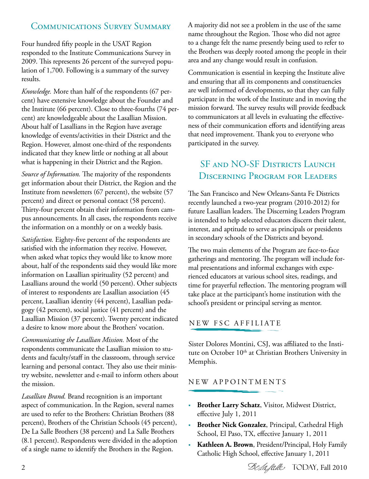#### Communications Survey Summary

Four hundred fifty people in the USAT Region responded to the Institute Communications Survey in 2009. This represents 26 percent of the surveyed population of 1,700. Following is a summary of the survey results.

*Knowledge.* More than half of the respondents (67 percent) have extensive knowledge about the Founder and the Institute (66 percent). Close to three-fourths (74 percent) are knowledgeable about the Lasallian Mission. About half of Lasallians in the Region have average knowledge of events/activities in their District and the Region. However, almost one-third of the respondents indicated that they knew little or nothing at all about what is happening in their District and the Region.

*Source of Information.* The majority of the respondents get information about their District, the Region and the Institute from newsletters (67 percent), the website (57 percent) and direct or personal contact (58 percent). Thirty-four percent obtain their information from campus announcements. In all cases, the respondents receive the information on a monthly or on a weekly basis.

*Satisfaction.* Eighty-five percent of the respondents are satisfied with the information they receive. However, when asked what topics they would like to know more about, half of the respondents said they would like more information on Lasallian spirituality (52 percent) and Lasallians around the world (50 percent). Other subjects of interest to respondents are Lasallian association (45 percent, Lasallian identity (44 percent), Lasallian pedagogy (42 percent), social justice (41 percent) and the Lasallian Mission (37 percent). Twenty percent indicated a desire to know more about the Brothers' vocation.

*Communicating the Lasallian Mission.* Most of the respondents communicate the Lasallian mission to students and faculty/staff in the classroom, through service learning and personal contact. They also use their ministry website, newsletter and e-mail to inform others about the mission.

*Lasallian Brand.* Brand recognition is an important aspect of communication. In the Region, several names are used to refer to the Brothers: Christian Brothers (88 percent), Brothers of the Christian Schools (45 percent), De La Salle Brothers (38 percent) and La Salle Brothers (8.1 percent). Respondents were divided in the adoption of a single name to identify the Brothers in the Region.

A majority did not see a problem in the use of the same name throughout the Region. Those who did not agree to a change felt the name presently being used to refer to the Brothers was deeply rooted among the people in their area and any change would result in confusion.

Communication is essential in keeping the Institute alive and ensuring that all its components and constituencies are well informed of developments, so that they can fully participate in the work of the Institute and in moving the mission forward. The survey results will provide feedback to communicators at all levels in evaluating the effectiveness of their communication efforts and identifying areas that need improvement. Thank you to everyone who participated in the survey.

#### SF and NO-SF DISTRICTS LAUNCH Discerning Program for Leaders

The San Francisco and New Orleans-Santa Fe Districts recently launched a two-year program (2010-2012) for future Lasallian leaders. The Discerning Leaders Program is intended to help selected educators discern their talent, interest, and aptitude to serve as principals or presidents in secondary schools of the Districts and beyond.

The two main elements of the Program are face-to-face gatherings and mentoring. The program will include formal presentations and informal exchanges with experienced educators at various school sites, readings, and time for prayerful reflection. The mentoring program will take place at the participant's home institution with the school's president or principal serving as mentor.

#### NEW FSC AFFILIATE

Sister Dolores Montini, CSJ, was affiliated to the Institute on October 10<sup>th</sup> at Christian Brothers University in Memphis.

#### N E W A P P O I N T M E N T S

- **Brother Larry Schatz**, Visitor, Midwest District, effective July 1, 2011
- **Brother Nick Gonzalez**, Principal, Cathedral High School, El Paso, TX, effective January 1, 2011
- **Kathleen A. Brown**, President/Principal, Holy Family Catholic High School, effective January 1, 2011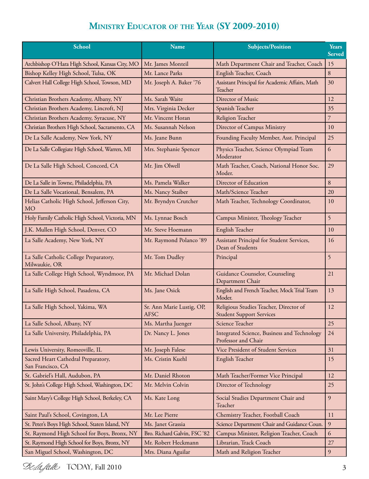#### **Ministry Educator of the Year (SY 2009-2010)**

| <b>School</b>                                             | <b>Name</b>                              | <b>Subjects/Position</b>                                                  | Years<br><b>Served</b> |
|-----------------------------------------------------------|------------------------------------------|---------------------------------------------------------------------------|------------------------|
| Archbishop O'Hara High School, Kansas City, MO            | Mr. James Monteil                        | Math Department Chair and Teacher, Coach                                  | 15                     |
| Bishop Kelley High School, Tulsa, OK                      | Mr. Lance Parks                          | English Teacher, Coach                                                    | 8                      |
| Calvert Hall College High School, Towson, MD              | Mr. Joseph A. Baker '76                  | Assistant Principal for Academic Affairs, Math<br>Teacher                 | 30                     |
| Christian Brothers Academy, Albany, NY                    | Ms. Sarah Waite                          | Director of Music                                                         | 12                     |
| Christian Brothers Academy, Lincroft, NJ                  | Mrs. Virginia Decker                     | Spanish Teacher                                                           | 35                     |
| Christian Brothers Academy, Syracuse, NY                  | Mr. Vincent Horan                        | Religion Teacher                                                          | 7                      |
| Christian Brothers High School, Sacramento, CA            | Ms. Susannah Nelson                      | Director of Campus Ministry                                               | 10                     |
| De La Salle Academy, New York, NY                         | Ms. Jeane Bunn                           | Founding Faculty Member, Asst. Principal                                  | 25                     |
| De La Salle Collegiate High School, Warren, MI            | Mrs. Stephanie Spencer                   | Physics Teacher, Science Olympiad Team<br>Moderator                       | 6                      |
| De La Salle High School, Concord, CA                      | Mr. Jim Olwell                           | Math Teacher, Coach, National Honor Soc.<br>Moder.                        | 29                     |
| De La Salle in Towne, Philadelphia, PA                    | Ms. Pamela Walker                        | Director of Education                                                     | 8                      |
| De La Salle Vocational, Bensalem, PA                      | Ms. Nancy Staiber                        | Math/Science Teacher                                                      | 20                     |
| Helias Catholic High School, Jefferson City,<br><b>MO</b> | Mr. Bryndyn Crutcher                     | Math Teacher, Technology Coordinator,                                     | 10                     |
| Holy Family Catholic High School, Victoria, MN            | Ms. Lynnae Bosch                         | Campus Minister, Theology Teacher                                         | 5                      |
| J.K. Mullen High School, Denver, CO                       | Mr. Steve Hoemann                        | English Teacher                                                           | 10                     |
| La Salle Academy, New York, NY                            | Mr. Raymond Polanco '89                  | Assistant Principal for Student Services,<br>Dean of Students             | 16                     |
| La Salle Catholic College Preparatory,<br>Milwaukie, OR   | Mr. Tom Dudley                           | Principal                                                                 | 5                      |
| La Salle College High School, Wyndmoor, PA                | Mr. Michael Dolan                        | Guidance Counselor, Counseling<br>Department Chair                        | 21                     |
| La Salle High School, Pasadena, CA                        | Ms. Jane Osick                           | English and French Teacher, Mock Trial Team<br>Moder.                     | 13                     |
| La Salle High School, Yakima, WA                          | Sr. Ann Marie Lustig, OP,<br><b>AFSC</b> | Religious Studies Teacher, Director of<br><b>Student Support Services</b> | 12                     |
| La Salle School, Albany, NY                               | Ms. Martha Juenger                       | Science Teacher                                                           | 25                     |
| La Salle University, Philadelphia, PA                     | Dr. Nancy L. Jones                       | Integrated Science, Business and Technology<br>Professor and Chair        | 24                     |
| Lewis University, Romeoville, IL                          | Mr. Joseph Falese                        | Vice President of Student Services                                        | 31                     |
| Sacred Heart Cathedral Preparatory,<br>San Francisco, CA  | Ms. Cristin Kuehl                        | English Teacher                                                           | 15                     |
| St. Gabriel's Hall, Audubon, PA                           | Mr. Daniel Rhoton                        | Math Teacher/Former Vice Principal                                        | 12                     |
| St. John's College High School, Washington, DC            | Mr. Melvin Colvin                        | Director of Technology                                                    | 25                     |
| Saint Mary's College High School, Berkeley, CA            | Ms. Kate Long                            | Social Studies Department Chair and<br>Teacher                            | 9                      |
| Saint Paul's School, Covington, LA                        | Mr. Lee Pierre                           | Chemistry Teacher, Football Coach                                         | 11                     |
| St. Peter's Boys High School, Staten Island, NY           | Ms. Janet Grassia                        | Science Department Chair and Guidance Coun.                               | 9                      |
| St. Raymond High School for Boys, Bronx, NY               | Bro. Richard Galvin, FSC '82             | Campus Minister, Religion Teacher, Coach                                  | 6                      |
| St. Raymond High School for Boys, Bronx, NY               | Mr. Robert Heckmann                      | Librarian, Track Coach                                                    | 27                     |
| San Miguel School, Washington, DC                         | Mrs. Diana Aguilar                       | Math and Religion Teacher                                                 | $\overline{9}$         |

Selafalle TODAY, Fall 2010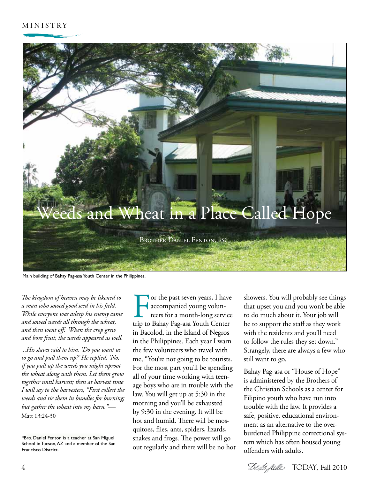

Main building of Bahay Pag-asa Youth Center in the Philippines.

*The kingdom of heaven may be likened to a man who sowed good seed in his field. While everyone was asleep his enemy came and sowed weeds all through the wheat, and then went off. When the crop grew and bore fruit, the weeds appeared as well.* 

*...His slaves said to him, 'Do you want us to go and pull them up?' He replied, 'No, if you pull up the weeds you might uproot the wheat along with them. Let them grow together until harvest; then at harvest time I will say to the harvesters, "First collect the weeds and tie them in bundles for burning; but gather the wheat into my barn."—* Matt 13:24-30

The past seven years, I have<br>
accompanied young volun-<br>
teers for a month-long service<br>
trip to Bahay Pag-asa Youth Center accompanied young volunteers for a month-long service in Bacolod, in the Island of Negros in the Philippines. Each year I warn the few volunteers who travel with me, "You're not going to be tourists. For the most part you'll be spending all of your time working with teenage boys who are in trouble with the law. You will get up at 5:30 in the morning and you'll be exhausted by 9:30 in the evening. It will be hot and humid. There will be mosquitoes, flies, ants, spiders, lizards, snakes and frogs. The power will go out regularly and there will be no hot

showers. You will probably see things that upset you and you won't be able to do much about it. Your job will be to support the staff as they work with the residents and you'll need to follow the rules they set down." Strangely, there are always a few who still want to go.

Bahay Pag-asa or "House of Hope" is administered by the Brothers of the Christian Schools as a center for Filipino youth who have run into trouble with the law. It provides a safe, positive, educational environment as an alternative to the overburdened Philippine correctional system which has often housed young offenders with adults.

<sup>\*</sup>Bro. Daniel Fenton is a teacher at San Miguel School in Tucson, AZ and a member of the San Francisco District.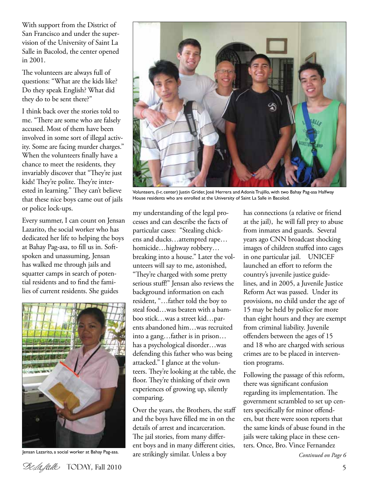With support from the District of San Francisco and under the supervision of the University of Saint La Salle in Bacolod, the center opened in 2001.

The volunteers are always full of questions: "What are the kids like? Do they speak English? What did they do to be sent there?"

I think back over the stories told to me. "There are some who are falsely accused. Most of them have been involved in some sort of illegal activity. Some are facing murder charges." When the volunteers finally have a chance to meet the residents, they invariably discover that "They're just kids! They're polite. They're interested in learning." They can't believe that these nice boys came out of jails or police lock-ups.

Every summer, I can count on Jensan Lazarito, the social worker who has dedicated her life to helping the boys at Bahay Pag-asa, to fill us in. Softspoken and unassuming, Jensan has walked me through jails and squatter camps in search of potential residents and to find the families of current residents. She guides



Jensan Lazarito, a social worker at Bahay Pag-asa.



Volunteers, (l-r, center) Justin Grider, José Herrera and Adonis Trujillo, with two Bahay Pag-asa Halfway House residents who are enrolled at the University of Saint La Salle in Bacolod.

my understanding of the legal processes and can describe the facts of particular cases: "Stealing chickens and ducks…attempted rape… homicide…highway robbery… breaking into a house." Later the volunteers will say to me, astonished, "They're charged with some pretty serious stuff!" Jensan also reviews the background information on each resident, "…father told the boy to steal food…was beaten with a bamboo stick…was a street kid…parents abandoned him…was recruited into a gang…father is in prison… has a psychological disorder…was defending this father who was being attacked." I glance at the volunteers. They're looking at the table, the floor. They're thinking of their own experiences of growing up, silently comparing.

Over the years, the Brothers, the staff and the boys have filled me in on the details of arrest and incarceration. The jail stories, from many different boys and in many different cities, are strikingly similar. Unless a boy

has connections (a relative or friend at the jail), he will fall prey to abuse from inmates and guards. Several years ago CNN broadcast shocking images of children stuffed into cages in one particular jail. UNICEF launched an effort to reform the country's juvenile justice guidelines, and in 2005, a Juvenile Justice Reform Act was passed. Under its provisions, no child under the age of 15 may be held by police for more than eight hours and they are exempt from criminal liability. Juvenile offenders between the ages of 15 and 18 who are charged with serious crimes are to be placed in intervention programs.

Following the passage of this reform, there was significant confusion regarding its implementation. The government scrambled to set up centers specifically for minor offenders, but there were soon reports that the same kinds of abuse found in the jails were taking place in these centers. Once, Bro. Vince Fernandez

*Continued on Page 6*

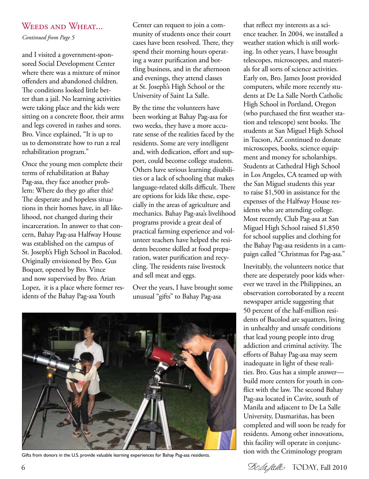#### WEEDS AND WHEAT...

*Continued from Page 5*

and I visited a government-sponsored Social Development Center where there was a mixture of minor offenders and abandoned children. The conditions looked little better than a jail. No learning activities were taking place and the kids were sitting on a concrete floor, their arms and legs covered in rashes and sores. Bro. Vince explained, "It is up to us to demonstrate how to run a real rehabilitation program."

Once the young men complete their terms of rehabilitation at Bahay Pag-asa, they face another problem: Where do they go after this? The desperate and hopeless situations in their homes have, in all likelihood, not changed during their incarceration. In answer to that concern, Bahay Pag-asa Halfway House was established on the campus of St. Joseph's High School in Bacolod. Originally envisioned by Bro. Gus Boquer, opened by Bro. Vince and now supervised by Bro. Arian Lopez, it is a place where former residents of the Bahay Pag-asa Youth

Center can request to join a community of students once their court cases have been resolved. There, they spend their morning hours operating a water purification and bottling business, and in the afternoon and evenings, they attend classes at St. Joseph's High School or the University of Saint La Salle.

By the time the volunteers have been working at Bahay Pag-asa for two weeks, they have a more accurate sense of the realities faced by the residents. Some are very intelligent and, with dedication, effort and support, could become college students. Others have serious learning disabilities or a lack of schooling that makes language-related skills difficult. There are options for kids like these, especially in the areas of agriculture and mechanics. Bahay Pag-asa's livelihood programs provide a great deal of practical farming experience and volunteer teachers have helped the residents become skilled at food preparation, water purification and recycling. The residents raise livestock and sell meat and eggs.

Over the years, I have brought some unusual "gifts" to Bahay Pag-asa



Gifts from donors in the U.S. provide valuable learning experiences for Bahay Pag-asa residents. tion with the Criminology program

that reflect my interests as a science teacher. In 2004, we installed a weather station which is still working. In other years, I have brought telescopes, microscopes, and materials for all sorts of science activities. Early on, Bro. James Joost provided computers, while more recently students at De La Salle North Catholic High School in Portland, Oregon (who purchased the first weather station and telescope) sent books. The students at San Miguel High School in Tucson, AZ continued to donate microscopes, books, science equipment and money for scholarships. Students at Cathedral High School in Los Angeles, CA teamed up with the San Miguel students this year to raise \$1,500 in assistance for the expenses of the Halfway House residents who are attending college. Most recently, Club Pag-asa at San Miguel High School raised \$1,850 for school supplies and clothing for the Bahay Pag-asa residents in a campaign called "Christmas for Pag-asa."

Inevitably, the volunteers notice that there are desperately poor kids wherever we travel in the Philippines, an observation corroborated by a recent newspaper article suggesting that 50 percent of the half-million residents of Bacolod are squatters, living in unhealthy and unsafe conditions that lead young people into drug addiction and criminal activity. The efforts of Bahay Pag-asa may seem inadequate in light of these realities. Bro. Gus has a simple answer build more centers for youth in conflict with the law. The second Bahay Pag-asa located in Cavite, south of Manila and adjacent to De La Salle University, Dasmariñas, has been completed and will soon be ready for residents. Among other innovations, this facility will operate in conjunc-

6 Today*,* Fall 2010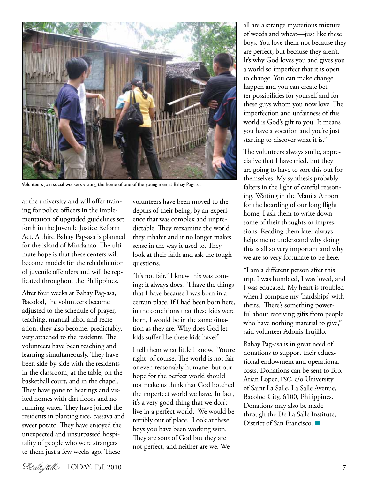

Volunteers join social workers visiting the home of one of the young men at Bahay Pag-asa.

at the university and will offer training for police officers in the implementation of upgraded guidelines set forth in the Juvenile Justice Reform Act. A third Bahay Pag-asa is planned for the island of Mindanao. The ultimate hope is that these centers will become models for the rehabilitation of juvenile offenders and will be replicated throughout the Philippines.

After four weeks at Bahay Pag-asa, Bacolod, the volunteers become adjusted to the schedule of prayer, teaching, manual labor and recreation; they also become, predictably, very attached to the residents. The volunteers have been teaching and learning simultaneously. They have been side-by-side with the residents in the classroom, at the table, on the basketball court, and in the chapel. They have gone to hearings and visited homes with dirt floors and no running water. They have joined the residents in planting rice, cassava and sweet potato. They have enjoyed the unexpected and unsurpassed hospitality of people who were strangers to them just a few weeks ago. These

volunteers have been moved to the depths of their being, by an experience that was complex and unpredictable. They reexamine the world they inhabit and it no longer makes sense in the way it used to. They look at their faith and ask the tough questions.

"It's not fair." I knew this was coming; it always does. "I have the things that I have because I was born in a certain place. If I had been born here, in the conditions that these kids were born, I would be in the same situation as they are. Why does God let kids suffer like these kids have?"

I tell them what little I know. "You're right, of course. The world is not fair or even reasonably humane, but our hope for the perfect world should not make us think that God botched the imperfect world we have. In fact, it's a very good thing that we don't live in a perfect world. We would be terribly out of place. Look at these boys you have been working with. They are sons of God but they are not perfect, and neither are we. We

all are a strange mysterious mixture of weeds and wheat—just like these boys. You love them not because they are perfect, but because they aren't. It's why God loves you and gives you a world so imperfect that it is open to change. You can make change happen and you can create better possibilities for yourself and for these guys whom you now love. The imperfection and unfairness of this world is God's gift to you. It means you have a vocation and you're just starting to discover what it is."

The volunteers always smile, appreciative that I have tried, but they are going to have to sort this out for themselves. My synthesis probably falters in the light of careful reasoning. Waiting in the Manila Airport for the boarding of our long flight home, I ask them to write down some of their thoughts or impressions. Reading them later always helps me to understand why doing this is all so very important and why we are so very fortunate to be here.

"I am a different person after this trip. I was humbled, I was loved, and I was educated. My heart is troubled when I compare my 'hardships' with theirs...There's something powerful about receiving gifts from people who have nothing material to give," said volunteer Adonis Trujillo.

Bahay Pag-asa is in great need of donations to support their educational endowment and operational costs. Donations can be sent to Bro. Arian Lopez, FSC, c/o University of Saint La Salle, La Salle Avenue, Bacolod City, 6100, Philippines. Donations may also be made through the De La Salle Institute, District of San Francisco.  $\blacksquare$ 

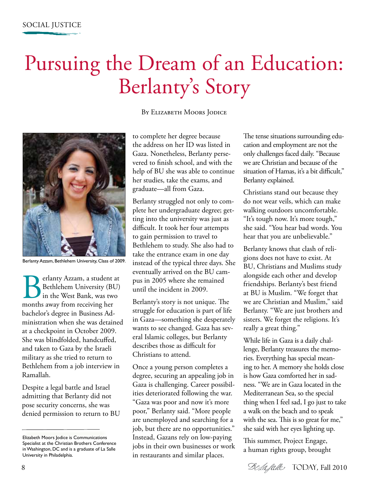## Pursuing the Dream of an Education: Berlanty's Story

BY ELIZABETH MOORS JODICE



Berlanty Azzam, Bethlehem University, Class of 2009.

**Berlanty Azzam, a student at Berkhlehem University (BU)**<br>in the West Bank, was two<br>months away from receiving her Bethlehem University (BU) in the West Bank, was two bachelor's degree in Business Administration when she was detained at a checkpoint in October 2009. She was blindfolded, handcuffed, and taken to Gaza by the Israeli military as she tried to return to Bethlehem from a job interview in Ramallah.

Despite a legal battle and Israel admitting that Berlanty did not pose security concerns, she was denied permission to return to BU to complete her degree because the address on her ID was listed in Gaza. Nonetheless, Berlanty persevered to finish school, and with the help of BU she was able to continue her studies, take the exams, and graduate—all from Gaza.

Berlanty struggled not only to complete her undergraduate degree; getting into the university was just as difficult. It took her four attempts to gain permission to travel to Bethlehem to study. She also had to take the entrance exam in one day instead of the typical three days. She eventually arrived on the BU campus in 2005 where she remained until the incident in 2009.

Berlanty's story is not unique. The struggle for education is part of life in Gaza—something she desperately wants to see changed. Gaza has several Islamic colleges, but Berlanty describes those as difficult for Christians to attend.

Once a young person completes a degree, securing an appealing job in Gaza is challenging. Career possibilities deteriorated following the war. "Gaza was poor and now it's more poor," Berlanty said. "More people are unemployed and searching for a job, but there are no opportunities." Instead, Gazans rely on low-paying jobs in their own businesses or work in restaurants and similar places.

The tense situations surrounding education and employment are not the only challenges faced daily. "Because we are Christian and because of the situation of Hamas, it's a bit difficult," Berlanty explained.

Christians stand out because they do not wear veils, which can make walking outdoors uncomfortable. "It's tough now. It's more tough," she said. "You hear bad words. You hear that you are unbelievable."

Berlanty knows that clash of religions does not have to exist. At BU, Christians and Muslims study alongside each other and develop friendships. Berlanty's best friend at BU is Muslim. "We forget that we are Christian and Muslim," said Berlanty. "We are just brothers and sisters. We forget the religions. It's really a great thing."

While life in Gaza is a daily challenge, Berlanty treasures the memories. Everything has special meaning to her. A memory she holds close is how Gaza comforted her in sadness. "We are in Gaza located in the Mediterranean Sea, so the special thing when I feel sad, I go just to take a walk on the beach and to speak with the sea. This is so great for me," she said with her eyes lighting up.

This summer, Project Engage, a human rights group, brought

Elizabeth Moors Jodice is Communications Specialist at the Christian Brothers Conference in Washington, DC and is a graduate of La Salle University in Philadelphia.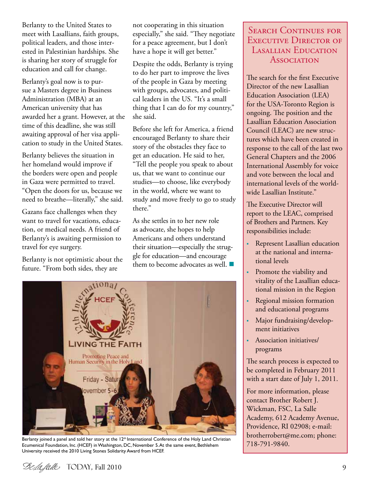Berlanty to the United States to meet with Lasallians, faith groups, political leaders, and those interested in Palestinian hardships. She is sharing her story of struggle for education and call for change.

Berlanty's goal now is to pursue a Masters degree in Business Administration (MBA) at an American university that has awarded her a grant. However, at the time of this deadline, she was still awaiting approval of her visa application to study in the United States.

Berlanty believes the situation in her homeland would improve if the borders were open and people in Gaza were permitted to travel. "Open the doors for us, because we need to breathe—literally," she said.

Gazans face challenges when they want to travel for vacations, education, or medical needs. A friend of Berlanty's is awaiting permission to travel for eye surgery.

Berlanty is not optimistic about the future. "From both sides, they are

not cooperating in this situation especially," she said. "They negotiate for a peace agreement, but I don't have a hope it will get better."

Despite the odds, Berlanty is trying to do her part to improve the lives of the people in Gaza by meeting with groups, advocates, and political leaders in the US. "It's a small thing that I can do for my country," she said.

Before she left for America, a friend encouraged Berlanty to share their story of the obstacles they face to get an education. He said to her, "Tell the people you speak to about us, that we want to continue our studies—to choose, like everybody in the world, where we want to study and move freely to go to study there."

As she settles in to her new role as advocate, she hopes to help Americans and others understand their situation—especially the struggle for education—and encourage them to become advocates as well.  $\blacksquare$ 



Berlanty joined a panel and told her story at the 12<sup>th</sup> International Conference of the Holy Land Christian Ecumenical Foundation, Inc. (HCEF) in Washington, DC, November 5. At the same event, Bethlehem University received the 2010 Living Stones Solidarity Award from HCEF.

#### SEARCH CONTINUES FOR EXECUTIVE DIRECTOR OF Lasallian Education **Association**

The search for the first Executive Director of the new Lasallian Education Association (LEA) for the USA-Toronto Region is ongoing. The position and the Lasallian Education Association Council (LEAC) are new structures which have been created in response to the call of the last two General Chapters and the 2006 International Assembly for voice and vote between the local and international levels of the worldwide Lasallian Institute."

The Executive Director will report to the LEAC, comprised of Brothers and Partners. Key responsibilities include:

- Represent Lasallian education at the national and international levels
- Promote the viability and vitality of the Lasallian educational mission in the Region
- Regional mission formation and educational programs
- Major fundraising/development initiatives
- Association initiatives/ programs

The search process is expected to be completed in February 2011 with a start date of July 1, 2011.

For more information, please contact Brother Robert J. Wickman, FSC, La Salle Academy, 612 Academy Avenue, Providence, RI 02908; e-mail: brotherrobert@me.com; phone: 718-791-9840.

Today*,* Fall 2010 9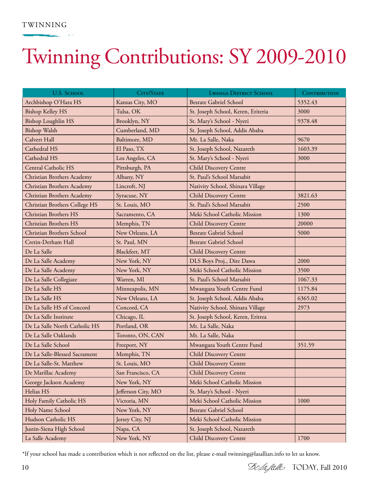#### TWINNING

## Twinning Contributions: SY 2009-2010

| U.S. SCHOOL                   | CITY/STATE         | <b>LWANGA DISTRICT SCHOOL</b>      | <b>CONTRIBUTION</b> |
|-------------------------------|--------------------|------------------------------------|---------------------|
| Archbishop O'Hara HS          | Kansas City, MO    | <b>Besrate Gabriel School</b>      | 5352.43             |
| <b>Bishop Kelley HS</b>       | Tulsa, OK          | St. Joseph School, Keren, Eriteria | 3000                |
| <b>Bishop Loughlin HS</b>     | Brooklyn, NY       | St. Mary's School - Nyeri          | 9378.48             |
| <b>Bishop Walsh</b>           | Cumberland, MD     | St. Joseph School, Addis Ababa     |                     |
| Calvert Hall                  | Baltimore, MD      | Mt. La Salle, Naka                 | 9670                |
| Cathedral HS                  | El Paso, TX        | St. Joseph School, Nazareth        | 1603.39             |
| Cathedral HS                  | Los Angeles, CA    | St. Mary's School - Nyeri          | 3000                |
| Central Catholic HS           | Pittsburgh, PA     | Child Discovery Centre             |                     |
| Christian Brothers Academy    | Albany, NY         | St. Paul's School Marsabit         |                     |
| Christian Brothers Academy    | Lincroft, NJ       | Nativity School, Shinara Village   |                     |
| Christian Brothers Academy    | Syracuse, NY       | <b>Child Discovery Centre</b>      | 3821.63             |
| Christian Brothers College HS | St. Louis, MO      | St. Paul's School Marsabit         | 2500                |
| Christian Brothers HS         | Sacramento, CA     | Meki School Catholic Mission       | 1300                |
| Christian Brothers HS         | Memphis, TN        | <b>Child Discovery Centre</b>      | 20000               |
| Christian Brothers School     | New Orleans, LA    | <b>Besrate Gabriel School</b>      | 5000                |
| Cretin-Derham Hall            | St. Paul, MN       | <b>Besrate Gabriel School</b>      |                     |
| De La Salle                   | Blackfeet, MT      | <b>Child Discovery Centre</b>      |                     |
| De La Salle Academy           | New York, NY       | DLS Boys Proj., Dire Dawa          | 2000                |
| De La Salle Academy           | New York, NY       | Meki School Catholic Mission       | 3500                |
| De La Salle Collegiate        | Warren, MI         | St. Paul's School Marsabit         | 1067.33             |
| De La Salle HS                | Minneapolis, MN    | Mwangaza Youth Centre Fund         | 1175.84             |
| De La Salle HS                | New Orleans, LA    | St. Joseph School, Addis Ababa     | 6365.02             |
| De La Salle HS of Concord     | Concord, CA        | Nativity School, Shinara Village   | 2973                |
| De La Salle Institute         | Chicago, IL        | St. Joseph School, Keren, Eritrea  |                     |
| De La Salle North Catholic HS | Portland, OR       | Mt. La Salle, Naka                 |                     |
| De La Salle Oaklands          | Toronto, ON, CAN   | Mt. La Salle, Naka                 |                     |
| De La Salle School            | Freeport, NY       | Mwangaza Youth Centre Fund         | 351.59              |
| De La Salle-Blessed Sacrament | Memphis, TN        | Child Discovery Centre             |                     |
| De La Salle-St. Matthew       | St. Louis, MO      | Child Discovery Centre             |                     |
| De Marillac Academy           | San Francisco, CA  | <b>Child Discovery Centre</b>      |                     |
| George Jackson Academy        | New York, NY       | Meki School Catholic Mission       |                     |
| Helias HS                     | Jefferson City, MO | St. Mary's School - Nyeri          |                     |
| Holy Family Catholic HS       | Victoria, MN       | Meki School Catholic Mission       | 1000                |
| Holy Name School              | New York, NY       | <b>Besrate Gabriel School</b>      |                     |
| Hudson Catholic HS            | Jersey City, NJ    | Meki School Catholic Mission       |                     |
| Justin-Siena High School      | Napa, CA           | St. Joseph School, Nazareth        |                     |
| La Salle Academy              | New York, NY       | <b>Child Discovery Centre</b>      | 1700                |

\*If your school has made a contribution which is not reflected on the list, please e-mail twinning@lasallian.info to let us know.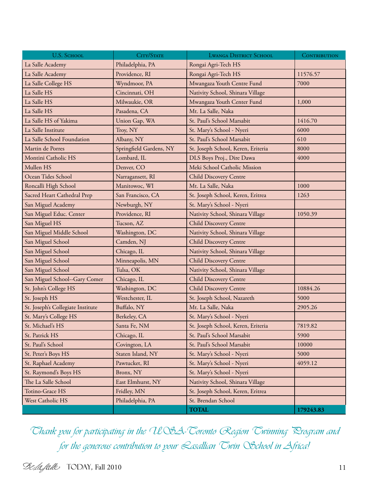| U.S. SCHOOL                       | CITY/STATE              | <b>LWANGA DISTRICT SCHOOL</b>      | CONTRIBUTION |
|-----------------------------------|-------------------------|------------------------------------|--------------|
| La Salle Academy                  | Philadelphia, PA        | Rongai Agri-Tech HS                |              |
| La Salle Academy                  | Providence, RI          | Rongai Agri-Tech HS                | 11576.57     |
| La Salle College HS               | Wyndmoor, PA            | Mwangaza Youth Centre Fund         | 7000         |
| La Salle HS                       | Cincinnati, OH          | Nativity School, Shinara Village   |              |
| La Salle HS                       | Milwaukie, OR           | Mwangaza Youth Center Fund         | 1,000        |
| La Salle HS                       | Pasadena, CA            | Mt. La Salle, Naka                 |              |
| La Salle HS of Yakima             | Union Gap, WA           | St. Paul's School Marsabit         | 1416.70      |
| La Salle Institute                | Troy, NY                | St. Mary's School - Nyeri          | 6000         |
| La Salle School Foundation        | Albany, NY              | St. Paul's School Marsabit         | 610          |
| Martin de Porres                  | Springfield Gardens, NY | St. Joseph School, Keren, Eriteria | 8000         |
| Montini Catholic HS               | Lombard, IL             | DLS Boys Proj., Dire Dawa          | 4000         |
| Mullen HS                         | Denver, CO              | Meki School Catholic Mission       |              |
| Ocean Tides School                | Narragansett, RI        | <b>Child Discovery Centre</b>      |              |
| Roncalli High School              | Manitowoc, WI           | Mt. La Salle, Naka                 | 1000         |
| Sacred Heart Cathedral Prep       | San Francisco, CA       | St. Joseph School, Keren, Eritrea  | 1263         |
| San Miguel Academy                | Newburgh, NY            | St. Mary's School - Nyeri          |              |
| San Miguel Educ. Center           | Providence, RI          | Nativity School, Shinara Village   | 1050.39      |
| San Miguel HS                     | Tucson, AZ              | <b>Child Discovery Centre</b>      |              |
| San Miguel Middle School          | Washington, DC          | Nativity School, Shinara Village   |              |
| San Miguel School                 | Camden, NJ              | <b>Child Discovery Centre</b>      |              |
| San Miguel School                 | Chicago, IL             | Nativity School, Shinara Village   |              |
| San Miguel School                 | Minneapolis, MN         | <b>Child Discovery Centre</b>      |              |
| San Miguel School                 | Tulsa, OK               | Nativity School, Shinara Village   |              |
| San Miguel School--Gary Comer     | Chicago, IL             | <b>Child Discovery Centre</b>      |              |
| St. John's College HS             | Washington, DC          | <b>Child Discovery Centre</b>      | 10884.26     |
| St. Joseph HS                     | Westchester, IL         | St. Joseph School, Nazareth        | 5000         |
| St. Joseph's Collegiate Institute | Buffalo, NY             | Mt. La Salle, Naka                 | 2905.26      |
| St. Mary's College HS             | Berkeley, CA            | St. Mary's School - Nyeri          |              |
| St. Michael's HS                  | Santa Fe, NM            | St. Joseph School, Keren, Eriteria | 7819.82      |
| St. Patrick HS                    | Chicago, IL             | St. Paul's School Marsabit         | 5900         |
| St. Paul's School                 | Covington, LA           | St. Paul's School Marsabit         | 10000        |
| St. Peter's Boys HS               | Staten Island, NY       | St. Mary's School - Nyeri          | 5000         |
| St. Raphael Academy               | Pawtucket, RI           | St. Mary's School - Nyeri          | 4059.12      |
| St. Raymond's Boys HS             | Bronx, NY               | St. Mary's School - Nyeri          |              |
| The La Salle School               | East Elmhurst, NY       | Nativity School, Shinara Village   |              |
| Totino-Grace HS                   | Fridley, MN             | St. Joseph School, Keren, Eritrea  |              |
| West Catholic HS                  | Philadelphia, PA        | St. Brendan School                 |              |
|                                   |                         | <b>TOTAL</b>                       | 179243.83    |

Thank you for participating in the USA-Toronto Region Twinning Rrogram and for the generous contribution to your Lasallian Twin OSchool in Africa!

 $\mathcal{D}\ell\mathcal{A}$ *falle* TODAY, Fall 2010 11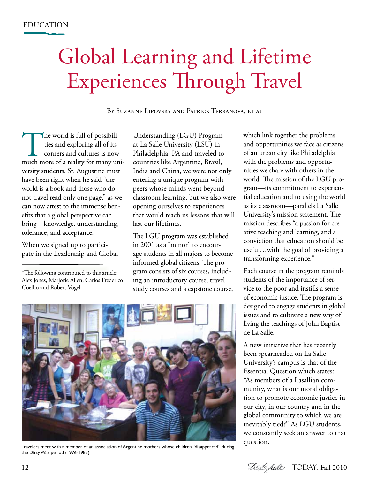## Global Learning and Lifetime Experiences Through Travel

By Suzanne Lipovsky and Patrick Terranova, et al

The world is full of possibilities and exploring all of its corners and cultures is now much more of a reality for many unities and exploring all of its corners and cultures is now versity students. St. Augustine must have been right when he said "the world is a book and those who do not travel read only one page," as we can now attest to the immense benefits that a global perspective can bring—knowledge, understanding, tolerance, and acceptance.

When we signed up to participate in the Leadership and Global

\*The following contributed to this article: Alex Jones, Marjorie Allen, Carlos Frederico Coelho and Robert Vogel.

Understanding (LGU) Program at La Salle University (LSU) in Philadelphia, PA and traveled to countries like Argentina, Brazil, India and China, we were not only entering a unique program with peers whose minds went beyond classroom learning, but we also were opening ourselves to experiences that would teach us lessons that will last our lifetimes.

The LGU program was established in 2001 as a "minor" to encourage students in all majors to become informed global citizens. The program consists of six courses, including an introductory course, travel study courses and a capstone course,

mission describes "a passion for creative teaching and learning, and a conviction that education should be useful…with the goal of providing a transforming experience." Each course in the program reminds students of the importance of service to the poor and instills a sense of economic justice. The program is designed to engage students in global

de La Salle.

which link together the problems and opportunities we face as citizens of an urban city like Philadelphia with the problems and opportunities we share with others in the world. The mission of the LGU program—its commitment to experiential education and to using the world as its classroom—parallels La Salle University's mission statement. The



Travelers meet with a member of an association of Argentine mothers whose children "disappeared" during the Dirty War period (1976-1983).

A new initiative that has recently been spearheaded on La Salle University's campus is that of the Essential Question which states: "As members of a Lasallian community, what is our moral obligation to promote economic justice in our city, in our country and in the global community to which we are inevitably tied?" As LGU students, we constantly seek an answer to that question.

issues and to cultivate a new way of living the teachings of John Baptist

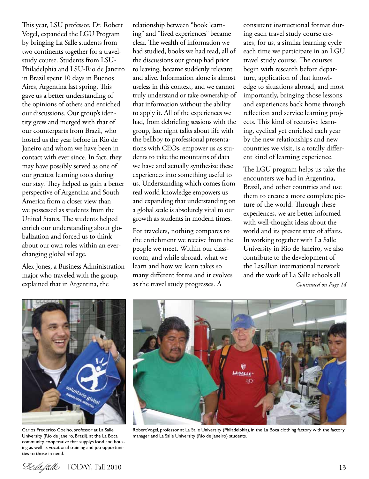This year, LSU professor, Dr. Robert Vogel, expanded the LGU Program by bringing La Salle students from two continents together for a travelstudy course. Students from LSU-Philadelphia and LSU-Rio de Janeiro in Brazil spent 10 days in Buenos Aires, Argentina last spring. This gave us a better understanding of the opinions of others and enriched our discussions. Our group's identity grew and merged with that of our counterparts from Brazil, who hosted us the year before in Rio de Janeiro and whom we have been in contact with ever since. In fact, they may have possibly served as one of our greatest learning tools during our stay. They helped us gain a better perspective of Argentina and South America from a closer view than we possessed as students from the United States. The students helped enrich our understanding about globalization and forced us to think about our own roles within an everchanging global village.

Alex Jones, a Business Administration major who traveled with the group, explained that in Argentina, the

relationship between "book learning" and "lived experiences" became clear. The wealth of information we had studied, books we had read, all of the discussions our group had prior to leaving, became suddenly relevant and alive. Information alone is almost useless in this context, and we cannot truly understand or take ownership of that information without the ability to apply it. All of the experiences we had, from debriefing sessions with the group, late night talks about life with the bellboy to professional presentations with CEOs, empower us as students to take the mountains of data we have and actually synthesize these experiences into something useful to us. Understanding which comes from real world knowledge empowers us and expanding that understanding on a global scale is absolutely vital to our growth as students in modern times.

For travelers, nothing compares to the enrichment we receive from the people we meet. Within our classroom, and while abroad, what we learn and how we learn takes so many different forms and it evolves as the travel study progresses. A

consistent instructional format during each travel study course creates, for us, a similar learning cycle each time we participate in an LGU travel study course. The courses begin with research before departure, application of that knowledge to situations abroad, and most importantly, bringing those lessons and experiences back home through reflection and service learning projects. This kind of recursive learning, cyclical yet enriched each year by the new relationships and new countries we visit, is a totally different kind of learning experience.

The LGU program helps us take the encounters we had in Argentina, Brazil, and other countries and use them to create a more complete picture of the world. Through these experiences, we are better informed with well-thought ideas about the world and its present state of affairs. In working together with La Salle University in Rio de Janeiro, we also contribute to the development of the Lasallian international network and the work of La Salle schools all

*Continued on Page 14*



Carlos Frederico Coelho, professor at La Salle University (Rio de Janeiro, Brazil), at the La Boca community cooperative that supplys food and housing as well as vocational training and job opportunities to those in need.



Robert Vogel, professor at La Salle University (Philadelphia), in the La Boca clothing factory with the factory manager and La Salle University (Rio de Janeiro) students.

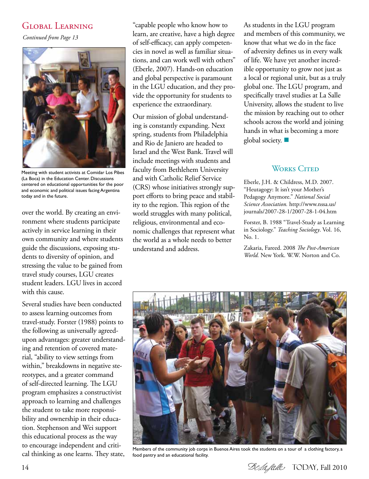#### Global Learning

*Continued from Page 13*



Meeting with student activists at Comidar Los Pibes (La Boca) in the Education Center. Discussions centered on educational opportunities for the poor and economic and political issues facing Argentina today and in the future.

over the world. By creating an environment where students participate actively in service learning in their own community and where students guide the discussions, exposing students to diversity of opinion, and stressing the value to be gained from travel study courses, LGU creates student leaders. LGU lives in accord with this cause.

Several studies have been conducted to assess learning outcomes from travel-study. Forster (1988) points to the following as universally agreedupon advantages: greater understanding and retention of covered material, "ability to view settings from within," breakdowns in negative stereotypes, and a greater command of self-directed learning. The LGU program emphasizes a constructivist approach to learning and challenges the student to take more responsibility and ownership in their education. Stephenson and Wei support this educational process as the way to encourage independent and critical thinking as one learns. They state,

"capable people who know how to learn, are creative, have a high degree of self-efficacy, can apply competencies in novel as well as familiar situations, and can work well with others" (Eberle, 2007). Hands-on education and global perspective is paramount in the LGU education, and they provide the opportunity for students to experience the extraordinary.

Our mission of global understanding is constantly expanding. Next spring, students from Philadelphia and Rio de Janiero are headed to Israel and the West Bank. Travel will include meetings with students and faculty from Bethlehem University and with Catholic Relief Service (CRS) whose initiatives strongly support efforts to bring peace and stability to the region. This region of the world struggles with many political, religious, environmental and economic challenges that represent what the world as a whole needs to better understand and address.

As students in the LGU program and members of this community, we know that what we do in the face of adversity defines us in every walk of life. We have yet another incredible opportunity to grow not just as a local or regional unit, but as a truly global one. The LGU program, and specifically travel studies at La Salle University, allows the student to live the mission by reaching out to other schools across the world and joining hands in what is becoming a more global society.  $\blacksquare$ 

#### WORKS CITED

Eberle, J.H. & Childress, M.D. 2007. "Heutagogy: It isn't your Mother's Pedagogy Anymore." *National Social Science Association.* http://www.nssa.us/ journals/2007-28-1/2007-28-1-04.htm

Forster, B. 1988 "Travel-Study as Learning in Sociology." *Teaching Sociology*. Vol. 16, No. 1.

Zakaria, Fareed. 2008 *The Post-American World.* New York. W.W. Norton and Co.



Members of the community job corps in Buenos Aires took the students on a tour of a clothing factory, a food pantry and an educational facility.

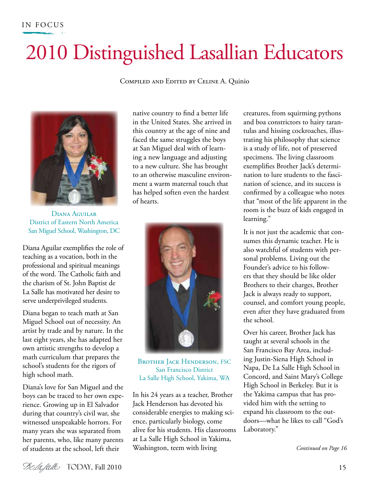## 2010 Distinguished Lasallian Educators

Compiled and Edited by Celine A. Quinio



Diana Aguilar District of Eastern North America San Miguel School, Washington, DC

Diana Aguilar exemplifies the role of teaching as a vocation, both in the professional and spiritual meanings of the word. The Catholic faith and the charism of St. John Baptist de La Salle has motivated her desire to serve underprivileged students.

Diana began to teach math at San Miguel School out of necessity. An artist by trade and by nature. In the last eight years, she has adapted her own artistic strengths to develop a math curriculum that prepares the school's students for the rigors of high school math.

Diana's love for San Miguel and the boys can be traced to her own experience. Growing up in El Salvador during that country's civil war, she witnessed unspeakable horrors. For many years she was separated from her parents, who, like many parents of students at the school, left their

native country to find a better life in the United States. She arrived in this country at the age of nine and faced the same struggles the boys at San Miguel deal with of learning a new language and adjusting to a new culture. She has brought to an otherwise masculine environment a warm maternal touch that has helped soften even the hardest of hearts.



BROTHER **JACK HENDERSON**, FSC San Francisco District La Salle High School, Yakima, WA

In his 24 years as a teacher, Brother Jack Henderson has devoted his considerable energies to making science, particularly biology, come alive for his students. His classrooms at La Salle High School in Yakima, Washington, teem with living

creatures, from squirming pythons and boa constrictors to hairy tarantulas and hissing cockroaches, illustrating his philosophy that science is a study of life, not of preserved specimens. The living classroom exemplifies Brother Jack's determination to lure students to the fascination of science, and its success is confirmed by a colleague who notes that "most of the life apparent in the room is the buzz of kids engaged in learning."

It is not just the academic that consumes this dynamic teacher. He is also watchful of students with personal problems. Living out the Founder's advice to his followers that they should be like older Brothers to their charges, Brother Jack is always ready to support, counsel, and comfort young people, even after they have graduated from the school.

Over his career, Brother Jack has taught at several schools in the San Francisco Bay Area, including Justin-Siena High School in Napa, De La Salle High School in Concord, and Saint Mary's College High School in Berkeley. But it is the Yakima campus that has provided him with the setting to expand his classroom to the outdoors—what he likes to call "God's Laboratory."

*Continued on Page 16*

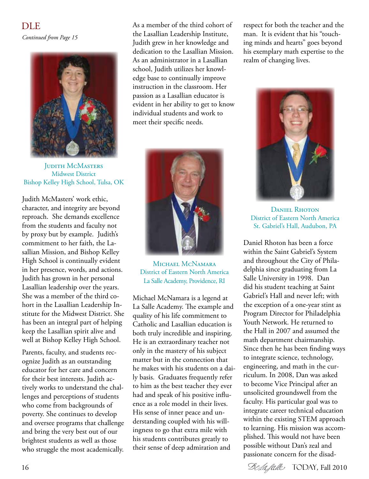*Continued from Page 15* DLE



**JUDITH MCMASTERS** Midwest District Bishop Kelley High School, Tulsa, OK

Judith McMasters' work ethic, character, and integrity are beyond reproach. She demands excellence from the students and faculty not by proxy but by example. Judith's commitment to her faith, the Lasallian Mission, and Bishop Kelley High School is continually evident in her presence, words, and actions. Judith has grown in her personal Lasallian leadership over the years. She was a member of the third cohort in the Lasallian Leadership Institute for the Midwest District. She has been an integral part of helping keep the Lasallian spirit alive and well at Bishop Kelley High School.

Parents, faculty, and students recognize Judith as an outstanding educator for her care and concern for their best interests. Judith actively works to understand the challenges and perceptions of students who come from backgrounds of poverty. She continues to develop and oversee programs that challenge and bring the very best out of our brightest students as well as those who struggle the most academically.

As a member of the third cohort of the Lasallian Leadership Institute, Judith grew in her knowledge and dedication to the Lasallian Mission. As an administrator in a Lasallian school, Judith utilizes her knowledge base to continually improve instruction in the classroom. Her passion as a Lasallian educator is evident in her ability to get to know individual students and work to meet their specific needs.



MICHAEL MCNAMARA District of Eastern North America La Salle Academy, Providence, RI

Michael McNamara is a legend at La Salle Academy. The example and quality of his life commitment to Catholic and Lasallian education is both truly incredible and inspiring. He is an extraordinary teacher not only in the mastery of his subject matter but in the connection that he makes with his students on a daily basis. Graduates frequently refer to him as the best teacher they ever had and speak of his positive influence as a role model in their lives. His sense of inner peace and understanding coupled with his willingness to go that extra mile with his students contributes greatly to their sense of deep admiration and

respect for both the teacher and the man. It is evident that his "touching minds and hearts" goes beyond his exemplary math expertise to the realm of changing lives.



Daniel Rhoton District of Eastern North America St. Gabriel's Hall, Audubon, PA

Daniel Rhoton has been a force within the Saint Gabriel's System and throughout the City of Philadelphia since graduating from La Salle University in 1998. Dan did his student teaching at Saint Gabriel's Hall and never left; with the exception of a one-year stint as Program Director for Philadelphia Youth Network. He returned to the Hall in 2007 and assumed the math department chairmanship. Since then he has been finding ways to integrate science, technology, engineering, and math in the curriculum. In 2008, Dan was asked to become Vice Principal after an unsolicited groundswell from the faculty. His particular goal was to integrate career technical education within the existing STEM approach to learning. His mission was accomplished. This would not have been possible without Dan's zeal and passionate concern for the disad-

16 Selafalle TODAY, Fall 2010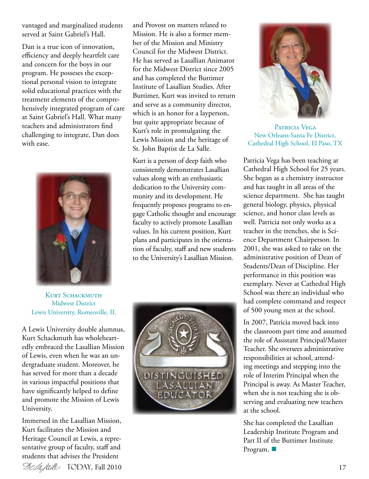vantaged and marginalized students served at Saint Gabriel's Hall.

Dan is a true icon of innovation, efficiency and deeply heartfelt care and concern for the boys in our program. He posseses the exceptional personal vision to integrate solid educational practices with the treatment elements of the comprehensively integrated program of care at Saint Gabriel's Hall. What many teachers and administrators find challenging to integrate, Dan does with ease.



and Provost on matters related to Mission. He is also a former member of the Mission and Ministry Council for the Midwest District. He has served as Lasallian Animator for the Midwest District since 2005 and has completed the Buttimer Institute of Lasallian Studies. After Buttimer, Kurt was invited to return and serve as a community director, which is an honor for a layperson, but quite appropriate because of Kurt's role in promulgating the Lewis Mission and the heritage of St. John Baptist de La Salle.

Kurt is a person of deep faith who consistently demonstrates Lasallian values along with an enthusiastic dedication to the University community and its development. He frequently proposes programs to engage Catholic thought and encourage faculty to actively promote Lasallian values. In his current position, Kurt plans and participates in the orientation of faculty, staff and new students to the University's Lasallian Mission.

KURT SCHACKMUTH Midwest District Lewis University, Romeoville, IL

A Lewis University double alumnus, Kurt Schackmuth has wholeheartedly embraced the Lasallian Mission of Lewis, even when he was an undergraduate student. Moreover, he has served for more than a decade in various impactful positions that have significantly helped to define and promote the Mission of Lewis University.

Immersed in the Lasallian Mission, Kurt facilitates the Mission and Heritage Council at Lewis, a representative group of faculty, staff and students that advises the President







PATRICIA VEGA New Orleans-Santa Fe District, Cathedral High School, El Paso, TX

Patricia Vega has been teaching at Cathedral High School for 25 years. She began as a chemistry instructor and has taught in all areas of the science department. She has taught general biology, physics, physical science, and honor class levels as well. Patricia not only works as a teacher in the trenches, she is Science Department Chairperson. In 2001, she was asked to take on the administrative position of Dean of Students/Dean of Discipline. Her performance in this position was exemplary. Never at Cathedral High School was there an individual who had complete command and respect of 500 young men at the school.

In 2007, Patricia moved back into the classroom part time and assumed the role of Assistant Principal/Master Teacher. She oversees administrative responsibilities at school, attending meetings and stepping into the role of Interim Principal when the Principal is away. As Master Teacher, when she is not teaching she is observing and evaluating new teachers at the school.

She has completed the Lasallian Leadership Institute Program and Part II of the Buttimer Institute Program.  $\blacksquare$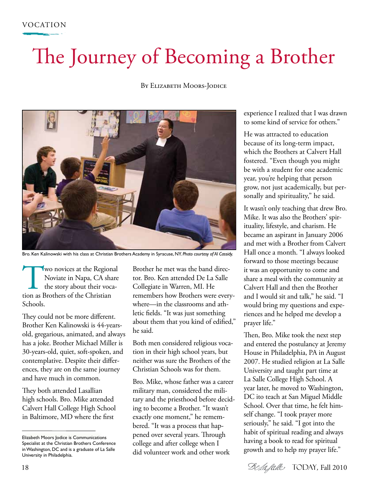## The Journey of Becoming a Brother

#### BY ELIZABETH MOORS-JODICE



Bro. Ken Kalinowski with his class at Christian Brothers Academy in Syracuse, NY. *Photo courtesy of Al Cassidy.*

Two novices at the Regional<br>
Noviate in Napa, CA share<br>
the story about their voca-<br>
tion as Brothers of the Christian Noviate in Napa, CA share the story about their voca-Schools.

They could not be more different. Brother Ken Kalinowski is 44-yearsold, gregarious, animated, and always has a joke. Brother Michael Miller is 30-years-old, quiet, soft-spoken, and contemplative. Despite their differences, they are on the same journey and have much in common.

They both attended Lasallian high schools. Bro. Mike attended Calvert Hall College High School in Baltimore, MD where the first

Brother he met was the band director. Bro. Ken attended De La Salle Collegiate in Warren, MI. He remembers how Brothers were everywhere—in the classrooms and athletic fields. "It was just something about them that you kind of edified," he said.

Both men considered religious vocation in their high school years, but neither was sure the Brothers of the Christian Schools was for them.

Bro. Mike, whose father was a career military man, considered the military and the priesthood before deciding to become a Brother. "It wasn't exactly one moment," he remembered. "It was a process that happened over several years. Through college and after college when I did volunteer work and other work

experience I realized that I was drawn to some kind of service for others."

He was attracted to education because of its long-term impact, which the Brothers at Calvert Hall fostered. "Even though you might be with a student for one academic year, you're helping that person grow, not just academically, but personally and spirituality," he said.

It wasn't only teaching that drew Bro. Mike. It was also the Brothers' spirituality, lifestyle, and charism. He became an aspirant in January 2006 and met with a Brother from Calvert Hall once a month. "I always looked forward to those meetings because it was an opportunity to come and share a meal with the community at Calvert Hall and then the Brother and I would sit and talk," he said. "I would bring my questions and experiences and he helped me develop a prayer life."

Then, Bro. Mike took the next step and entered the postulancy at Jeremy House in Philadelphia, PA in August 2007. He studied religion at La Salle University and taught part time at La Salle College High School. A year later, he moved to Washington, DC ito teach at San Miguel Middle School. Over that time, he felt himself change. "I took prayer more seriously," he said. "I got into the habit of spiritual reading and always having a book to read for spiritual growth and to help my prayer life."

18 Selafalle TODAY, Fall 2010

Elizabeth Moors Jodice is Communications Specialist at the Christian Brothers Conference in Washington, DC and is a graduate of La Salle University in Philadelphia.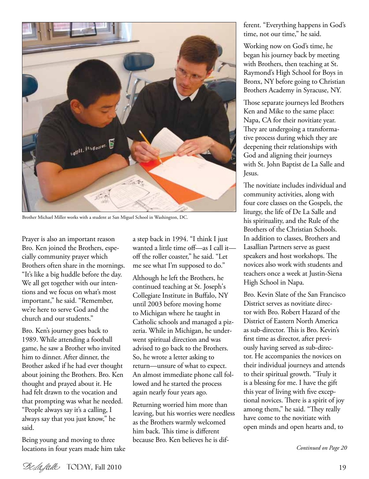

Brother Michael Miller works with a student at San Miguel School in Washington, DC.

Prayer is also an important reason Bro. Ken joined the Brothers, especially community prayer which Brothers often share in the mornings. "It's like a big huddle before the day. We all get together with our intentions and we focus on what's most important," he said. "Remember, we're here to serve God and the church and our students."

Bro. Ken's journey goes back to 1989. While attending a football game, he saw a Brother who invited him to dinner. After dinner, the Brother asked if he had ever thought about joining the Brothers. Bro. Ken thought and prayed about it. He had felt drawn to the vocation and that prompting was what he needed. "People always say it's a calling, I always say that you just know," he said.

Being young and moving to three locations in four years made him take a step back in 1994. "I think I just wanted a little time off—as I call it off the roller coaster," he said. "Let me see what I'm supposed to do."

Although he left the Brothers, he continued teaching at St. Joseph's Collegiate Institute in Buffalo, NY until 2003 before moving home to Michigan where he taught in Catholic schools and managed a pizzeria. While in Michigan, he underwent spiritual direction and was advised to go back to the Brothers. So, he wrote a letter asking to return—unsure of what to expect. An almost immediate phone call followed and he started the process again nearly four years ago.

Returning worried him more than leaving, but his worries were needless as the Brothers warmly welcomed him back. This time is different because Bro. Ken believes he is different. "Everything happens in God's time, not our time," he said.

Working now on God's time, he began his journey back by meeting with Brothers, then teaching at St. Raymond's High School for Boys in Bronx, NY before going to Christian Brothers Academy in Syracuse, NY.

Those separate journeys led Brothers Ken and Mike to the same place: Napa, CA for their novitiate year. They are undergoing a transformative process during which they are deepening their relationships with God and aligning their journeys with St. John Baptist de La Salle and Jesus.

The novitiate includes individual and community activities, along with four core classes on the Gospels, the liturgy, the life of De La Salle and his spirituality, and the Rule of the Brothers of the Christian Schools. In addition to classes, Brothers and Lasallian Partners serve as guest speakers and host workshops. The novices also work with students and teachers once a week at Justin-Siena High School in Napa.

Bro. Kevin Slate of the San Francisco District serves as novitiate director with Bro. Robert Hazard of the District of Eastern North America as sub-director. This is Bro. Kevin's first time as director, after previously having served as sub-director. He accompanies the novices on their individual journeys and attends to their spiritual growth. "Truly it is a blessing for me. I have the gift this year of living with five exceptional novices. There is a spirit of joy among them," he said. "They really have come to the novitiate with open minds and open hearts and, to

*Continued on Page 20*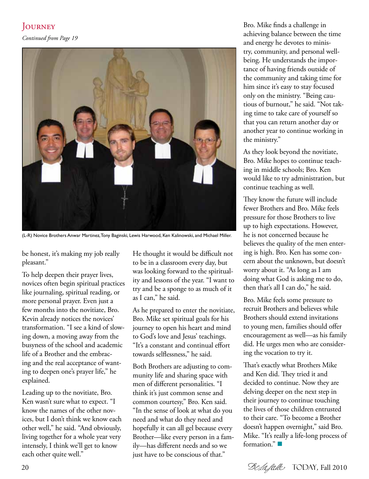#### **JOURNEY**

*Continued from Page 19*



(L-R) Novice Brothers Anwar Martinez, Tony Baginski, Lewis Harwood, Ken Kalinowski, and Michael Miller.

be honest, it's making my job really pleasant."

To help deepen their prayer lives, novices often begin spiritual practices like journaling, spiritual reading, or more personal prayer. Even just a few months into the novitiate, Bro. Kevin already notices the novices' transformation. "I see a kind of slowing down, a moving away from the busyness of the school and academic life of a Brother and the embracing and the real acceptance of wanting to deepen one's prayer life," he explained.

Leading up to the novitiate, Bro. Ken wasn't sure what to expect. "I know the names of the other novices, but I don't think we know each other well," he said. "And obviously, living together for a whole year very intensely, I think we'll get to know each other quite well."

He thought it would be difficult not to be in a classroom every day, but was looking forward to the spirituality and lessons of the year. "I want to try and be a sponge to as much of it as I can," he said.

As he prepared to enter the novitiate, Bro. Mike set spiritual goals for his journey to open his heart and mind to God's love and Jesus' teachings. "It's a constant and continual effort towards selflessness," he said.

Both Brothers are adjusting to community life and sharing space with men of different personalities. "I think it's just common sense and common courtesy," Bro. Ken said. "In the sense of look at what do you need and what do they need and hopefully it can all gel because every Brother—like every person in a family—has different needs and so we just have to be conscious of that."

Bro. Mike finds a challenge in achieving balance between the time and energy he devotes to ministry, community, and personal wellbeing. He understands the importance of having friends outside of the community and taking time for him since it's easy to stay focused only on the ministry. "Being cautious of burnout," he said. "Not taking time to take care of yourself so that you can return another day or another year to continue working in the ministry."

As they look beyond the novitiate, Bro. Mike hopes to continue teaching in middle schools; Bro. Ken would like to try administration, but continue teaching as well.

They know the future will include fewer Brothers and Bro. Mike feels pressure for those Brothers to live up to high expectations. However, he is not concerned because he believes the quality of the men entering is high. Bro. Ken has some concern about the unknown, but doesn't worry about it. "As long as I am doing what God is asking me to do, then that's all I can do," he said.

Bro. Mike feels some pressure to recruit Brothers and believes while Brothers should extend invitations to young men, families should offer encouragement as well—as his family did. He urges men who are considering the vocation to try it.

That's exactly what Brothers Mike and Ken did. They tried it and decided to continue. Now they are delving deeper on the next step in their journey to continue touching the lives of those children entrusted to their care. "To become a Brother doesn't happen overnight," said Bro. Mike. "It's really a life-long process of formation." $\blacksquare$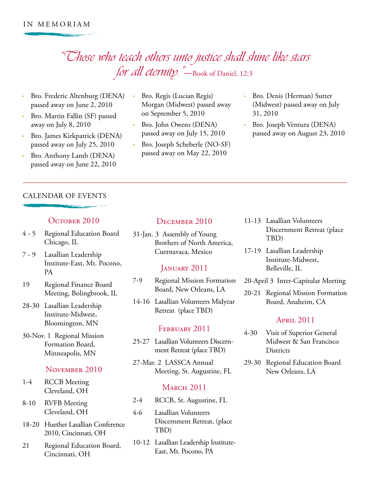### "Those who teach others unto justice shall shine like stars for all eternity."—Book of Daniel, 12:3

- Bro. Frederic Altenburg (DENA) passed away on June 2, 2010
- Bro. Martin Fallin (SF) passed away on July 8, 2010
- Bro. James Kirkpatrick (DENA) passed away on July 25, 2010
- Bro. Anthony Lamb (DENA) passed away on June 22, 2010

#### CALENDAR OF EVENTS

#### OCTOBER 2010

- 4 5 Regional Education Board Chicago, IL
- 7 9 Lasallian Leadership Institute-East, Mt. Pocono, PA
- 19 Regional Finance Board Meeting, Bolingbrook, IL
- 28-30 Lasallian Leadership Institute-Midwest, Bloomington, MN
- 30-Nov. 1 Regional Mission Formation Board, Minneapolis, MN

#### November 2010

- 1-4 RCCB Meeting Cleveland, OH
- 8-10 RVFB Meeting Cleveland, OH
- 18-20 Huether Lasallian Conference 2010, Cincinnati, OH
- 21 Regional Education Board, Cincinnati, OH
- Bro. Regis (Lucian Regis) Morgan (Midwest) passed away on September 5, 2010
- Bro. John Owens (DENA) passed away on July 15, 2010
- Bro. Joseph Scheberle (NO-SF) passed away on May 22, 2010
- Bro. Denis (Herman) Sutter (Midwest) passed away on July 31, 2010
- Bro. Joseph Ventura (DENA) passed away on August 23, 2010

#### December 2010

31-Jan. 3 Assembly of Young Brothers of North America, Cuernavaca, Mexico

#### JANUARY 2011

- 7-9 Regional Mission Formation Board, New Orleans, LA
- 14-16 Lasallian Volunteers Midyear Retreat (place TBD)

#### FEBRUARY 2011

- 25-27 Lasallian Volunteers Discernment Retreat (place TBD)
- 27-Mar. 2 LASSCA Annual Meeting, St. Augustine, FL

#### **MARCH 2011**

- 2-4 RCCB, St. Augustine, FL
- 4-6 Lasallian Volunteers Discernment Retreat, (place TBD)
- 10-12 Lasallian Leadership Institute-East, Mt. Pocono, PA
- 11-13 Lasallian Volunteers Discernment Retreat (place TBD)
- 17-19 Lasallian Leadership Institute-Midwest, Belleville, IL
- 20-April 3 Inter-Capitular Meeting
- 20-21 Regional Mission Formation Board, Anaheim, CA

#### April 2011

- 4-30 Visit of Superior General Midwest & San Francisco **Districts**
- 29-30 Regional Education Board New Orleans, LA